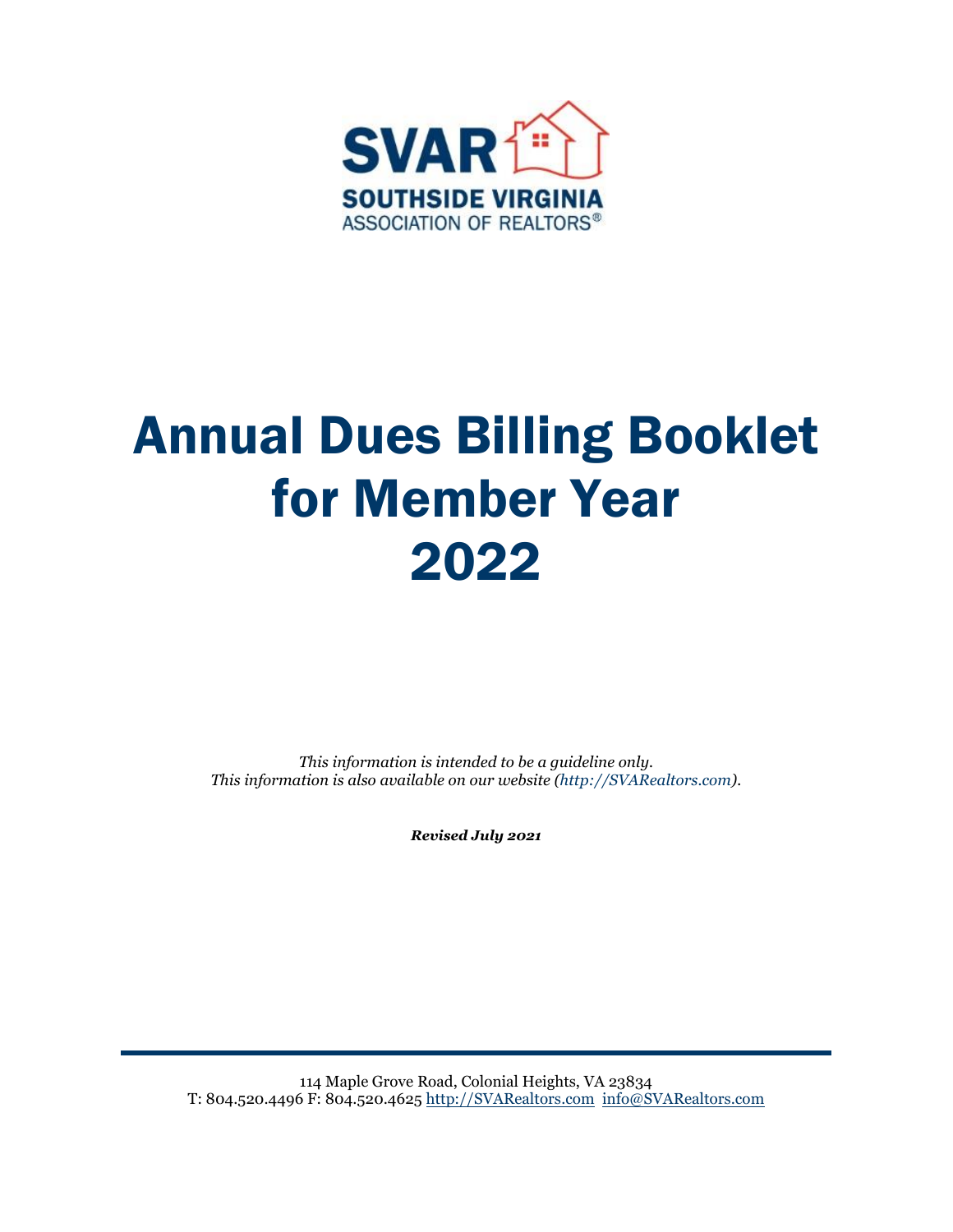

# Annual Dues Billing Booklet for Member Year 2022

*This information is intended to be a guideline only. This information is also available on our website (http://SVARealtors.com).*

*Revised July 2021*

114 Maple Grove Road, Colonial Heights, VA 23834 T: 804.520.4496 F: 804.520.4625 [http://SVARealtors.com](http://svarealtors.com/) [info@SVARealtors.com](mailto:info@SVARealtors.com)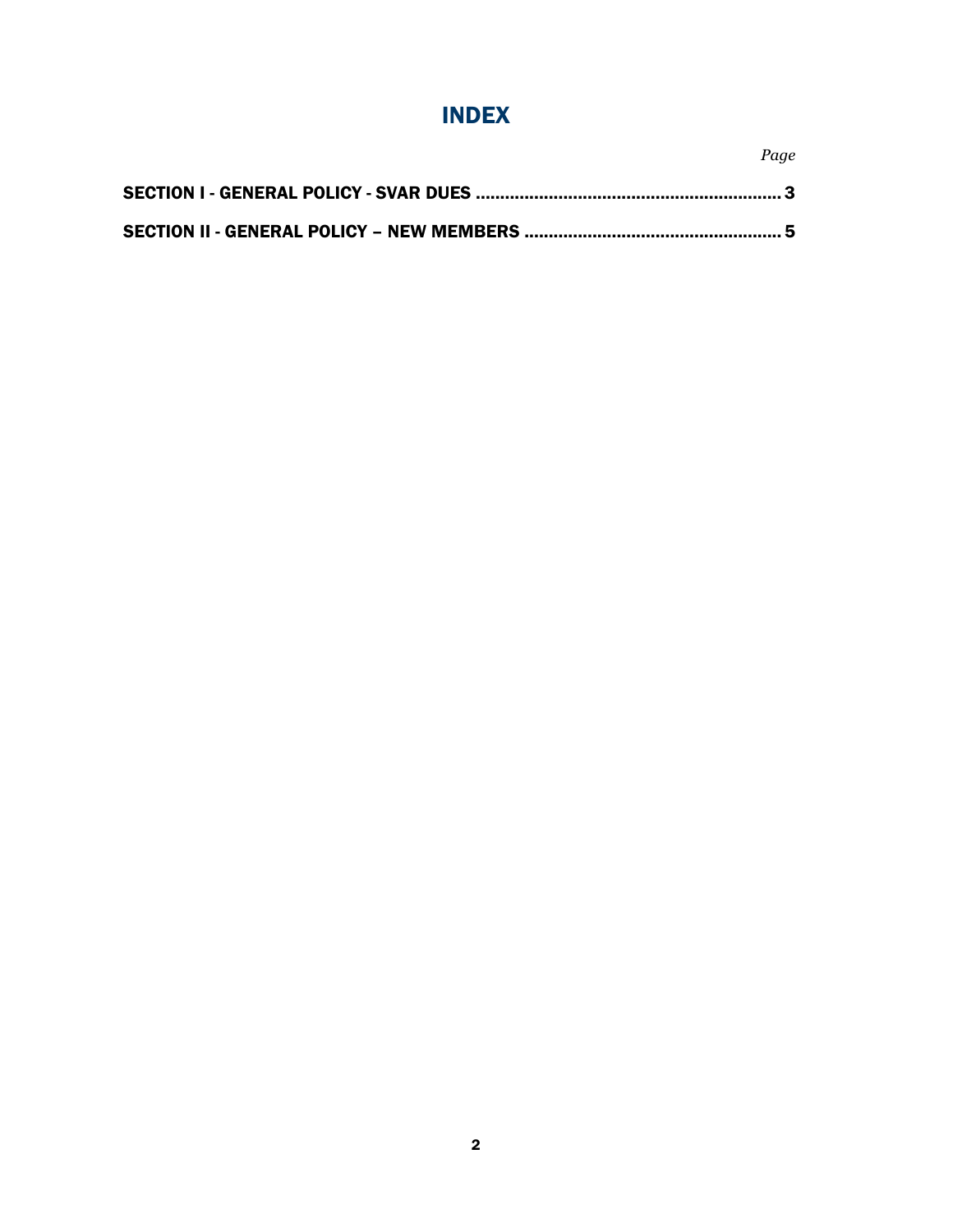## INDEX

*Page*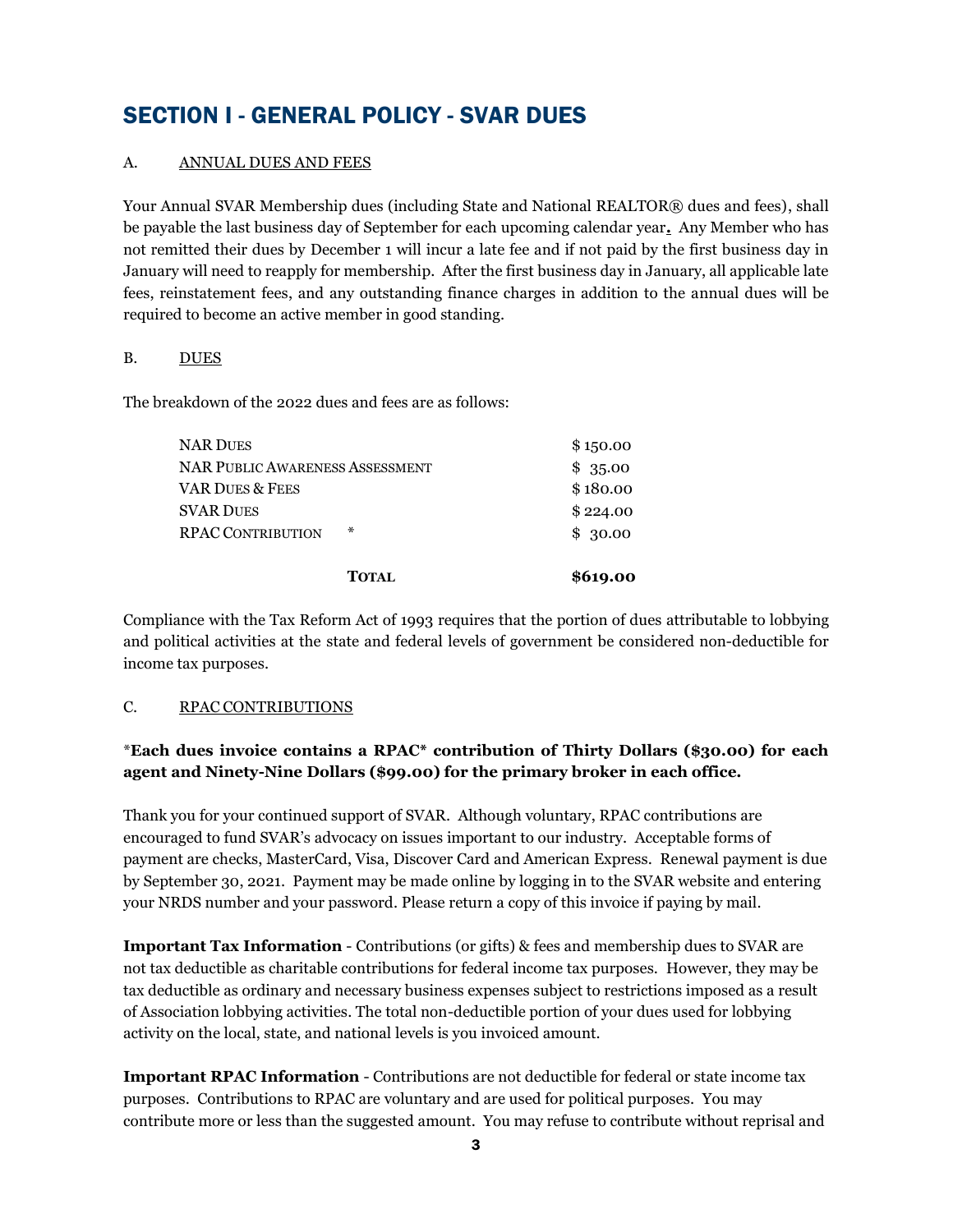## <span id="page-2-0"></span>SECTION I - GENERAL POLICY - SVAR DUES

#### A. ANNUAL DUES AND FEES

Your Annual SVAR Membership dues (including State and National REALTOR® dues and fees), shall be payable the last business day of September for each upcoming calendar year**.** Any Member who has not remitted their dues by December 1 will incur a late fee and if not paid by the first business day in January will need to reapply for membership. After the first business day in January, all applicable late fees, reinstatement fees, and any outstanding finance charges in addition to the annual dues will be required to become an active member in good standing.

#### B. DUES

The breakdown of the 2022 dues and fees are as follows:

| NAR DUES                        | \$150.00 |
|---------------------------------|----------|
| NAR PUBLIC AWARENESS ASSESSMENT | \$35.00  |
| VAR DUES & FEES                 | \$180.00 |
| <b>SVAR DUES</b>                | \$224.00 |
| ∗<br><b>RPAC CONTRIBUTION</b>   | \$30.00  |
| <b>TOTAL</b>                    | \$619.00 |

Compliance with the Tax Reform Act of 1993 requires that the portion of dues attributable to lobbying and political activities at the state and federal levels of government be considered non-deductible for income tax purposes.

#### C. RPAC CONTRIBUTIONS

#### \***Each dues invoice contains a RPAC\* contribution of Thirty Dollars (\$30.00) for each agent and Ninety-Nine Dollars (\$99.00) for the primary broker in each office.**

Thank you for your continued support of SVAR. Although voluntary, RPAC contributions are encouraged to fund SVAR's advocacy on issues important to our industry. Acceptable forms of payment are checks, MasterCard, Visa, Discover Card and American Express. Renewal payment is due by September 30, 2021. Payment may be made online by logging in to the SVAR website and entering your NRDS number and your password. Please return a copy of this invoice if paying by mail.

**Important Tax Information** - Contributions (or gifts) & fees and membership dues to SVAR are not tax deductible as charitable contributions for federal income tax purposes. However, they may be tax deductible as ordinary and necessary business expenses subject to restrictions imposed as a result of Association lobbying activities. The total non-deductible portion of your dues used for lobbying activity on the local, state, and national levels is you invoiced amount.

**Important RPAC Information** - Contributions are not deductible for federal or state income tax purposes. Contributions to RPAC are voluntary and are used for political purposes. You may contribute more or less than the suggested amount. You may refuse to contribute without reprisal and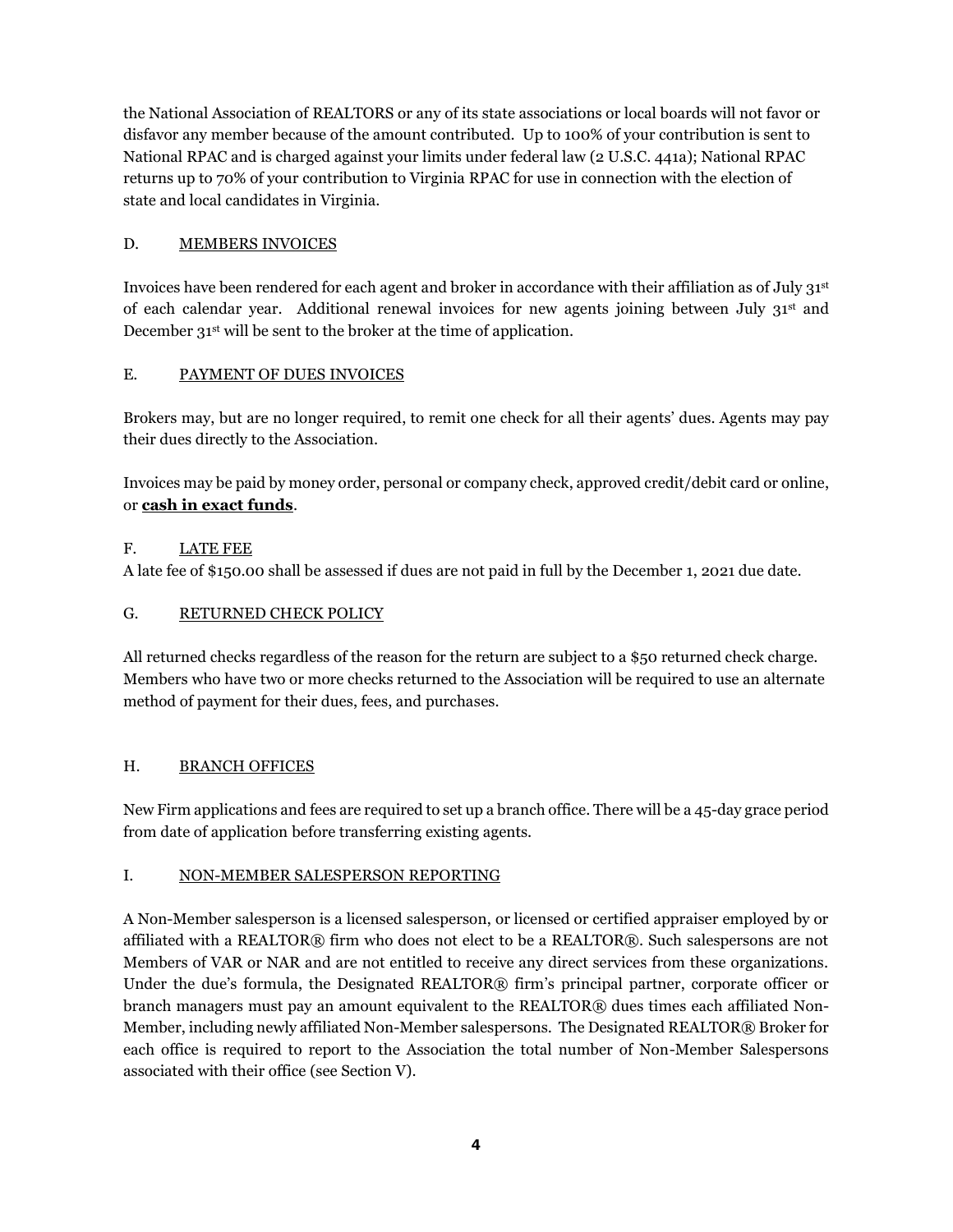the National Association of REALTORS or any of its state associations or local boards will not favor or disfavor any member because of the amount contributed. Up to 100% of your contribution is sent to National RPAC and is charged against your limits under federal law (2 U.S.C. 441a); National RPAC returns up to 70% of your contribution to Virginia RPAC for use in connection with the election of state and local candidates in Virginia.

#### D. MEMBERS INVOICES

Invoices have been rendered for each agent and broker in accordance with their affiliation as of July 31st of each calendar year. Additional renewal invoices for new agents joining between July 31st and December 31<sup>st</sup> will be sent to the broker at the time of application.

#### E. PAYMENT OF DUES INVOICES

Brokers may, but are no longer required, to remit one check for all their agents' dues. Agents may pay their dues directly to the Association.

Invoices may be paid by money order, personal or company check, approved credit/debit card or online, or **cash in exact funds**.

#### F. LATE FEE

A late fee of \$150.00 shall be assessed if dues are not paid in full by the December 1, 2021 due date.

#### G. RETURNED CHECK POLICY

All returned checks regardless of the reason for the return are subject to a \$50 returned check charge. Members who have two or more checks returned to the Association will be required to use an alternate method of payment for their dues, fees, and purchases.

#### H. **BRANCH OFFICES**

New Firm applications and fees are required to set up a branch office. There will be a 45-day grace period from date of application before transferring existing agents.

#### I. NON-MEMBER SALESPERSON REPORTING

A Non-Member salesperson is a licensed salesperson, or licensed or certified appraiser employed by or affiliated with a REALTOR® firm who does not elect to be a REALTOR®. Such salespersons are not Members of VAR or NAR and are not entitled to receive any direct services from these organizations. Under the due's formula, the Designated REALTOR® firm's principal partner, corporate officer or branch managers must pay an amount equivalent to the REALTOR® dues times each affiliated Non-Member, including newly affiliated Non-Member salespersons. The Designated REALTOR® Broker for each office is required to report to the Association the total number of Non-Member Salespersons associated with their office (see Section V).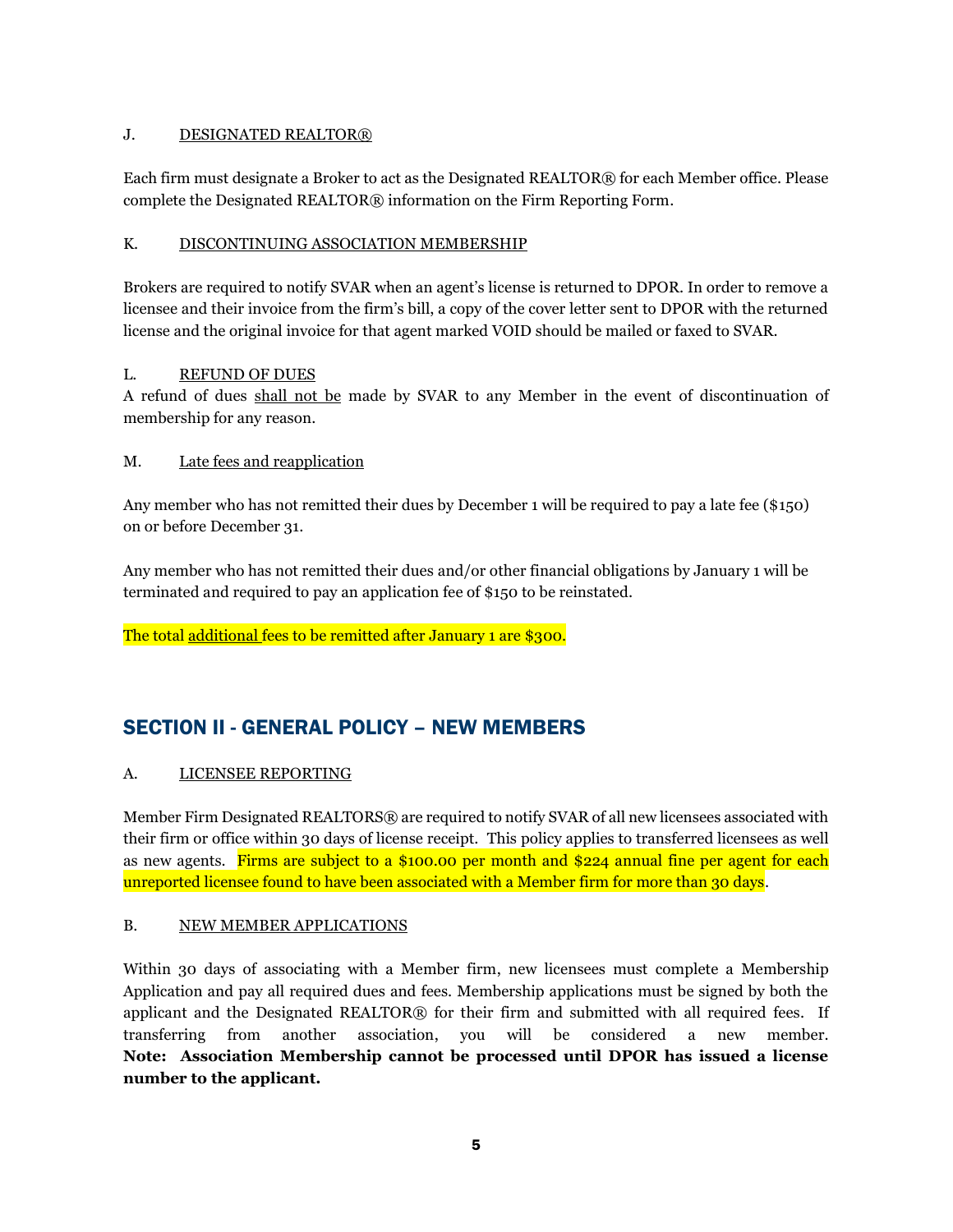#### J. DESIGNATED REALTOR®

Each firm must designate a Broker to act as the Designated REALTOR® for each Member office. Please complete the Designated REALTOR® information on the Firm Reporting Form.

#### K. DISCONTINUING ASSOCIATION MEMBERSHIP

Brokers are required to notify SVAR when an agent's license is returned to DPOR. In order to remove a licensee and their invoice from the firm's bill, a copy of the cover letter sent to DPOR with the returned license and the original invoice for that agent marked VOID should be mailed or faxed to SVAR.

#### L. REFUND OF DUES

A refund of dues shall not be made by SVAR to any Member in the event of discontinuation of membership for any reason.

#### M. Late fees and reapplication

Any member who has not remitted their dues by December 1 will be required to pay a late fee (\$150) on or before December 31.

Any member who has not remitted their dues and/or other financial obligations by January 1 will be terminated and required to pay an application fee of \$150 to be reinstated.

The total additional fees to be remitted after January 1 are \$300.

### <span id="page-4-0"></span>SECTION II - GENERAL POLICY – NEW MEMBERS

#### A. LICENSEE REPORTING

Member Firm Designated REALTORS® are required to notify SVAR of all new licensees associated with their firm or office within 30 days of license receipt. This policy applies to transferred licensees as well as new agents. Firms are subject to a \$100.00 per month and \$224 annual fine per agent for each unreported licensee found to have been associated with a Member firm for more than 30 days.

#### B. NEW MEMBER APPLICATIONS

Within 30 days of associating with a Member firm, new licensees must complete a Membership Application and pay all required dues and fees. Membership applications must be signed by both the applicant and the Designated REALTOR® for their firm and submitted with all required fees. If transferring from another association, you will be considered a new member. **Note: Association Membership cannot be processed until DPOR has issued a license number to the applicant.**